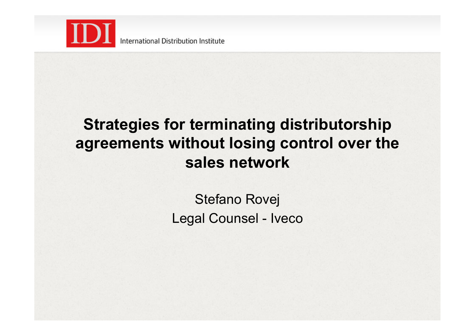

International Distribution Institute

#### **Strategies for terminating distributorship agreements without losing control over the sales network**

Stefano Rovej Legal Counsel - Iveco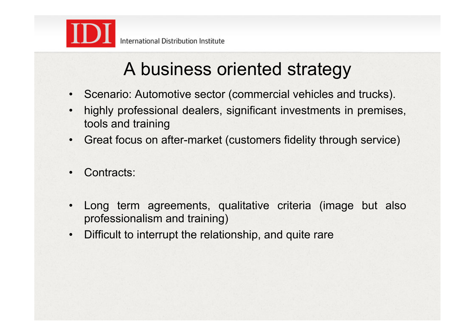

# A business oriented strategy

- Scenario: Automotive sector (commercial vehicles and trucks).
- highly professional dealers, significant investments in premises, tools and training
- Great focus on after-market (customers fidelity through service)
- Contracts:
- Long term agreements, qualitative criteria (image but also professionalism and training)
- Difficult to interrupt the relationship, and quite rare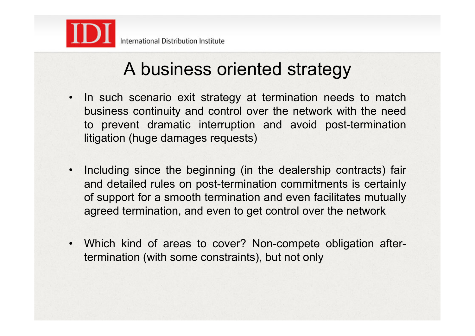

## A business oriented strategy

- In such scenario exit strategy at termination needs to match business continuity and control over the network with the need to prevent dramatic interruption and avoid post-termination litigation (huge damages requests)
- Including since the beginning (in the dealership contracts) fair and detailed rules on post-termination commitments is certainly of support for a smooth termination and even facilitates mutually agreed termination, and even to get control over the network
- Which kind of areas to cover? Non-compete obligation aftertermination (with some constraints), but not only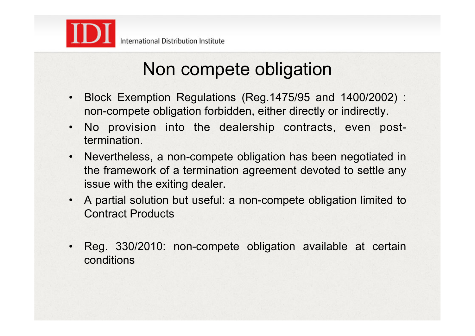

# Non compete obligation

- Block Exemption Regulations (Reg.1475/95 and 1400/2002) : non-compete obligation forbidden, either directly or indirectly.
- No provision into the dealership contracts, even posttermination.
- Nevertheless, a non-compete obligation has been negotiated in the framework of a termination agreement devoted to settle any issue with the exiting dealer.
- A partial solution but useful: a non-compete obligation limited to Contract Products
- Reg. 330/2010: non-compete obligation available at certain conditions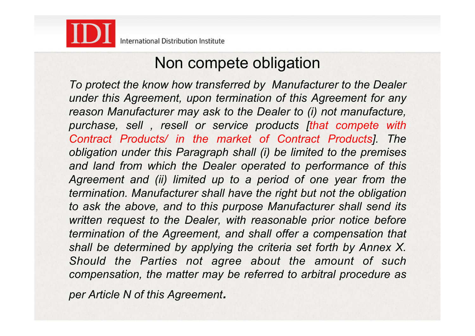

#### Non compete obligation

*To protect the know how transferred by Manufacturer to the Dealer under this Agreement, upon termination of this Agreement for any reason Manufacturer may ask to the Dealer to (i) not manufacture, purchase, sell , resell or service products [that compete with Contract Products/ in the market of Contract Products]. The obligation under this Paragraph shall (i) be limited to the premises and land from which the Dealer operated to performance of this Agreement and (ii) limited up to a period of one year from the termination. Manufacturer shall have the right but not the obligation to ask the above, and to this purpose Manufacturer shall send its*  written request to the Dealer, with reasonable prior notice before *termination of the Agreement, and shall offer a compensation that shall be determined by applying the criteria set forth by Annex X. Should the Parties not agree about the amount of such compensation, the matter may be referred to arbitral procedure as* 

*per Article N of this Agreement.*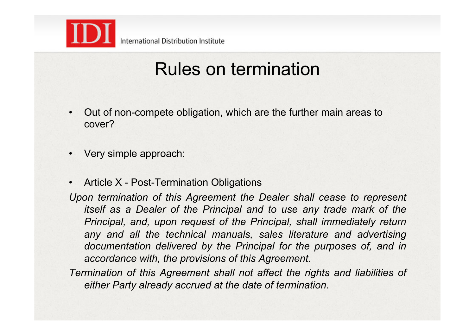

# Rules on termination

- Out of non-compete obligation, which are the further main areas to cover?
- Very simple approach:
- Article X Post-Termination Obligations

*Upon termination of this Agreement the Dealer shall cease to represent itself as a Dealer of the Principal and to use any trade mark of the Principal, and, upon request of the Principal, shall immediately return any and all the technical manuals, sales literature and advertising documentation delivered by the Principal for the purposes of, and in accordance with, the provisions of this Agreement.* 

*Termination of this Agreement shall not affect the rights and liabilities of either Party already accrued at the date of termination.*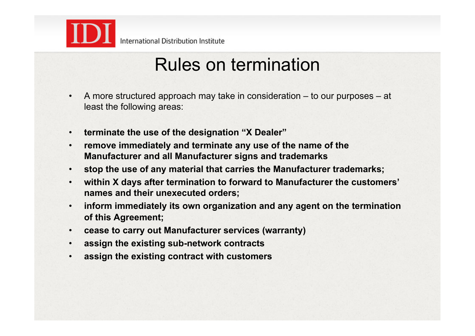

## Rules on termination

- A more structured approach may take in consideration to our purposes at least the following areas:
- **terminate the use of the designation "X Dealer"**
- **remove immediately and terminate any use of the name of the Manufacturer and all Manufacturer signs and trademarks**
- **stop the use of any material that carries the Manufacturer trademarks;**
- **within X days after termination to forward to Manufacturer the customers' names and their unexecuted orders;**
- **inform immediately its own organization and any agent on the termination of this Agreement;**
- **cease to carry out Manufacturer services (warranty)**
- **assign the existing sub-network contracts**
- **assign the existing contract with customers**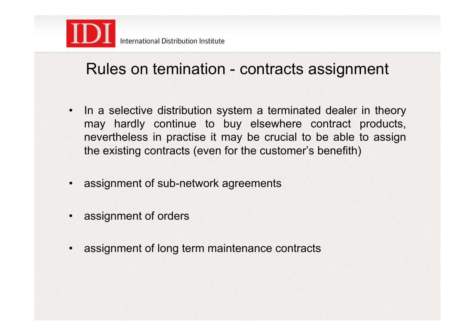

#### Rules on temination - contracts assignment

- In a selective distribution system a terminated dealer in theory may hardly continue to buy elsewhere contract products, nevertheless in practise it may be crucial to be able to assign the existing contracts (even for the customer's benefith)
- assignment of sub-network agreements
- assignment of orders
- assignment of long term maintenance contracts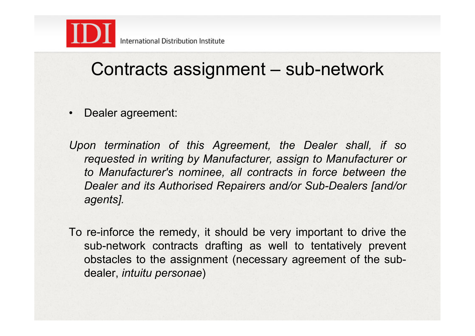

## Contracts assignment – sub-network

• Dealer agreement:

*Upon termination of this Agreement, the Dealer shall, if so requested in writing by Manufacturer, assign to Manufacturer or to Manufacturer's nominee, all contracts in force between the Dealer and its Authorised Repairers and/or Sub-Dealers [and/or agents].*

To re-inforce the remedy, it should be very important to drive the sub-network contracts drafting as well to tentatively prevent obstacles to the assignment (necessary agreement of the subdealer, *intuitu personae*)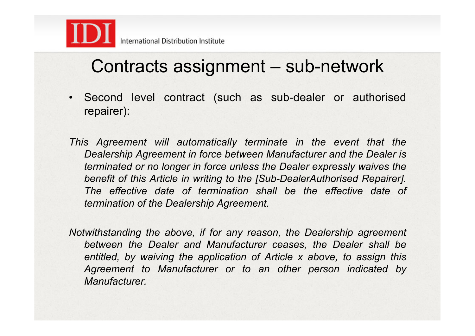

#### Contracts assignment – sub-network

• Second level contract (such as sub-dealer or authorised repairer):

*This Agreement will automatically terminate in the event that the Dealership Agreement in force between Manufacturer and the Dealer is terminated or no longer in force unless the Dealer expressly waives the benefit of this Article in writing to the [Sub-DealerAuthorised Repairer].*  The effective date of termination shall be the effective date of *termination of the Dealership Agreement.* 

*Notwithstanding the above, if for any reason, the Dealership agreement between the Dealer and Manufacturer ceases, the Dealer shall be entitled, by waiving the application of Article x above, to assign this Agreement to Manufacturer or to an other person indicated by Manufacturer.*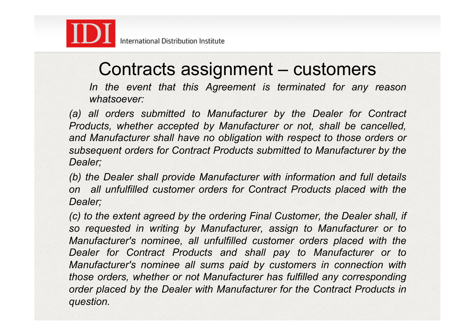

#### Contracts assignment – customers

*In the event that this Agreement is terminated for any reason whatsoever:*

*(a) all orders submitted to Manufacturer by the Dealer for Contract Products, whether accepted by Manufacturer or not, shall be cancelled,*  and Manufacturer shall have no obligation with respect to those orders or *subsequent orders for Contract Products submitted to Manufacturer by the Dealer;*

*(b) the Dealer shall provide Manufacturer with information and full details on all unfulfilled customer orders for Contract Products placed with the Dealer;*

*(c) to the extent agreed by the ordering Final Customer, the Dealer shall, if so requested in writing by Manufacturer, assign to Manufacturer or to Manufacturer's nominee, all unfulfilled customer orders placed with the Dealer for Contract Products and shall pay to Manufacturer or to Manufacturer's nominee all sums paid by customers in connection with those orders, whether or not Manufacturer has fulfilled any corresponding order placed by the Dealer with Manufacturer for the Contract Products in question.*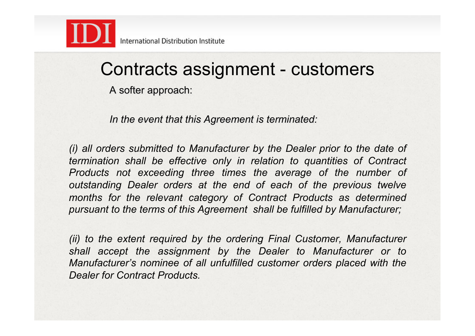

#### Contracts assignment - customers

A softer approach:

*In the event that this Agreement is terminated:* 

*(i) all orders submitted to Manufacturer by the Dealer prior to the date of termination shall be effective only in relation to quantities of Contract Products not exceeding three times the average of the number of outstanding Dealer orders at the end of each of the previous twelve months for the relevant category of Contract Products as determined pursuant to the terms of this Agreement shall be fulfilled by Manufacturer;*

*(ii) to the extent required by the ordering Final Customer, Manufacturer shall accept the assignment by the Dealer to Manufacturer or to Manufacturer's nominee of all unfulfilled customer orders placed with the Dealer for Contract Products.*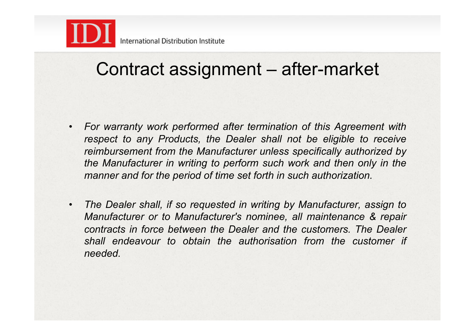

## Contract assignment – after-market

- *For warranty work performed after termination of this Agreement with respect to any Products, the Dealer shall not be eligible to receive reimbursement from the Manufacturer unless specifically authorized by the Manufacturer in writing to perform such work and then only in the manner and for the period of time set forth in such authorization.*
- *The Dealer shall, if so requested in writing by Manufacturer, assign to Manufacturer or to Manufacturer's nominee, all maintenance & repair contracts in force between the Dealer and the customers. The Dealer shall endeavour to obtain the authorisation from the customer if needed.*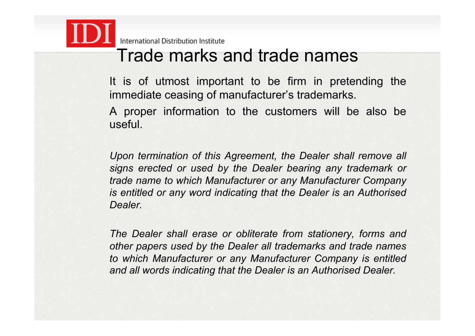International Distribution Institute

#### Trade marks and trade names

It is of utmost important to be firm in pretending the immediate ceasing of manufacturer's trademarks.

A proper information to the customers will be also be useful.

*Upon termination of this Agreement, the Dealer shall remove all signs erected or used by the Dealer bearing any trademark or trade name to which Manufacturer or any Manufacturer Company is entitled or any word indicating that the Dealer is an Authorised Dealer.*

*The Dealer shall erase or obliterate from stationery, forms and other papers used by the Dealer all trademarks and trade names to which Manufacturer or any Manufacturer Company is entitled and all words indicating that the Dealer is an Authorised Dealer.*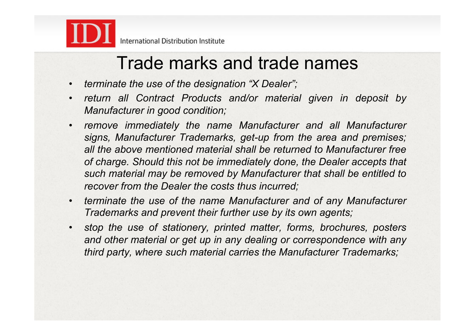

#### Trade marks and trade names

- *terminate the use of the designation "X Dealer";*
- *return all Contract Products and/or material given in deposit by Manufacturer in good condition;*
- *remove immediately the name Manufacturer and all Manufacturer signs, Manufacturer Trademarks, get-up from the area and premises; all the above mentioned material shall be returned to Manufacturer free of charge. Should this not be immediately done, the Dealer accepts that such material may be removed by Manufacturer that shall be entitled to recover from the Dealer the costs thus incurred;*
- *terminate the use of the name Manufacturer and of any Manufacturer Trademarks and prevent their further use by its own agents;*
- *stop the use of stationery, printed matter, forms, brochures, posters and other material or get up in any dealing or correspondence with any third party, where such material carries the Manufacturer Trademarks;*